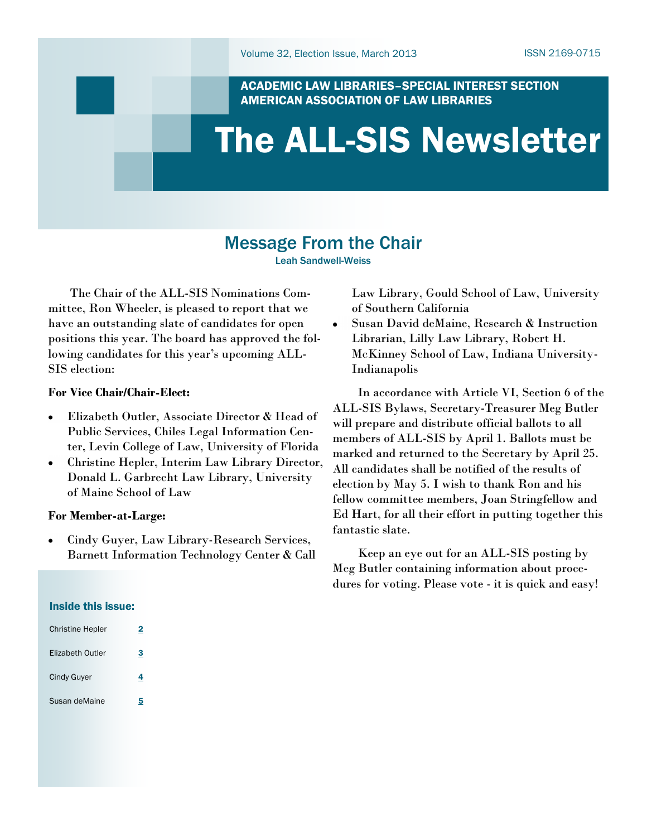#### ACADEMIC LAW LIBRARIES–SPECIAL INTEREST SECTION AMERICAN ASSOCIATION OF LAW LIBRARIES

# The ALL-SIS Newsletter

# Message From the Chair

Leah Sandwell-Weiss

 The Chair of the ALL-SIS Nominations Committee, Ron Wheeler, is pleased to report that we have an outstanding slate of candidates for open positions this year. The board has approved the following candidates for this year's upcoming ALL-SIS election:

#### **For Vice Chair/Chair-Elect:**

- Elizabeth Outler, Associate Director & Head of  $\bullet$ Public Services, Chiles Legal Information Center, Levin College of Law, University of Florida
- Christine Hepler, Interim Law Library Director,  $\bullet$ Donald L. Garbrecht Law Library, University of Maine School of Law

#### **For Member-at-Large:**

Cindy Guyer, Law Library-Research Services, Barnett Information Technology Center & Call Law Library, Gould School of Law, University of Southern California

Susan David deMaine, Research & Instruction Librarian, Lilly Law Library, Robert H. McKinney School of Law, Indiana University-Indianapolis

 In accordance with Article VI, Section 6 of the ALL-SIS Bylaws, Secretary-Treasurer Meg Butler will prepare and distribute official ballots to all members of ALL-SIS by April 1. Ballots must be marked and returned to the Secretary by April 25. All candidates shall be notified of the results of election by May 5. I wish to thank Ron and his fellow committee members, Joan Stringfellow and Ed Hart, for all their effort in putting together this fantastic slate.

 Keep an eye out for an ALL-SIS posting by Meg Butler containing information about procedures for voting. Please vote - it is quick and easy!

#### Inside this issue:

| <b>Christine Hepler</b> | 2 |
|-------------------------|---|
| Elizabeth Outler        | 3 |
| Cindy Guyer             | 4 |
| Susan deMaine           | 5 |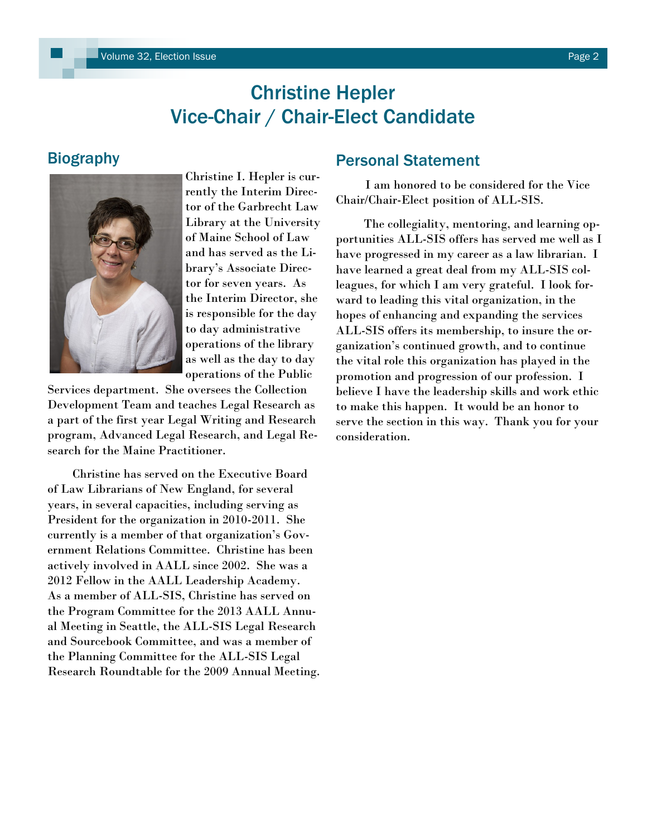# Christine Hepler Vice-Chair / Chair-Elect Candidate

# <span id="page-1-0"></span>**Biography**



Christine I. Hepler is currently the Interim Director of the Garbrecht Law Library at the University of Maine School of Law and has served as the Library"s Associate Director for seven years. As the Interim Director, she is responsible for the day to day administrative operations of the library as well as the day to day operations of the Public

Services department. She oversees the Collection Development Team and teaches Legal Research as a part of the first year Legal Writing and Research program, Advanced Legal Research, and Legal Research for the Maine Practitioner.

 Christine has served on the Executive Board of Law Librarians of New England, for several years, in several capacities, including serving as President for the organization in 2010-2011. She currently is a member of that organization"s Government Relations Committee. Christine has been actively involved in AALL since 2002. She was a 2012 Fellow in the AALL Leadership Academy. As a member of ALL-SIS, Christine has served on the Program Committee for the 2013 AALL Annual Meeting in Seattle, the ALL-SIS Legal Research and Sourcebook Committee, and was a member of the Planning Committee for the ALL-SIS Legal Research Roundtable for the 2009 Annual Meeting.

### Personal Statement

 I am honored to be considered for the Vice Chair/Chair-Elect position of ALL-SIS.

 The collegiality, mentoring, and learning opportunities ALL-SIS offers has served me well as I have progressed in my career as a law librarian. I have learned a great deal from my ALL-SIS colleagues, for which I am very grateful. I look forward to leading this vital organization, in the hopes of enhancing and expanding the services ALL-SIS offers its membership, to insure the organization"s continued growth, and to continue the vital role this organization has played in the promotion and progression of our profession. I believe I have the leadership skills and work ethic to make this happen. It would be an honor to serve the section in this way. Thank you for your consideration.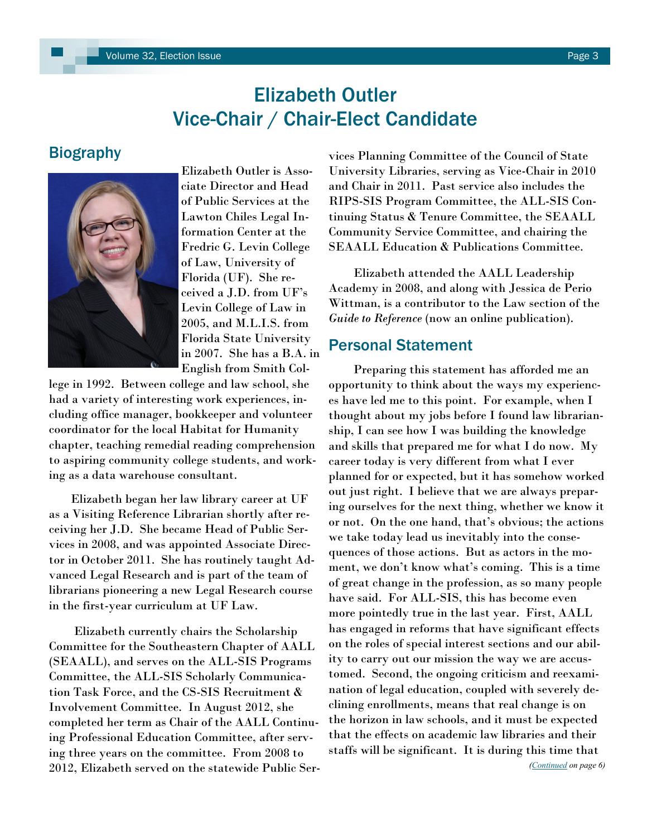# Elizabeth Outler Vice-Chair / Chair-Elect Candidate

# <span id="page-2-0"></span>**Biography**



Elizabeth Outler is Associate Director and Head of Public Services at the Lawton Chiles Legal Information Center at the Fredric G. Levin College of Law, University of Florida (UF). She received a J.D. from UF"s Levin College of Law in 2005, and M.L.I.S. from Florida State University in 2007. She has a B.A. in English from Smith Col-

lege in 1992. Between college and law school, she had a variety of interesting work experiences, including office manager, bookkeeper and volunteer coordinator for the local Habitat for Humanity chapter, teaching remedial reading comprehension to aspiring community college students, and working as a data warehouse consultant.

 Elizabeth began her law library career at UF as a Visiting Reference Librarian shortly after receiving her J.D. She became Head of Public Services in 2008, and was appointed Associate Director in October 2011. She has routinely taught Advanced Legal Research and is part of the team of librarians pioneering a new Legal Research course in the first-year curriculum at UF Law.

 Elizabeth currently chairs the Scholarship Committee for the Southeastern Chapter of AALL (SEAALL), and serves on the ALL-SIS Programs Committee, the ALL-SIS Scholarly Communication Task Force, and the CS-SIS Recruitment & Involvement Committee. In August 2012, she completed her term as Chair of the AALL Continuing Professional Education Committee, after serving three years on the committee. From 2008 to 2012, Elizabeth served on the statewide Public Services Planning Committee of the Council of State University Libraries, serving as Vice-Chair in 2010 and Chair in 2011. Past service also includes the RIPS-SIS Program Committee, the ALL-SIS Continuing Status & Tenure Committee, the SEAALL Community Service Committee, and chairing the SEAALL Education & Publications Committee.

 Elizabeth attended the AALL Leadership Academy in 2008, and along with Jessica de Perio Wittman, is a contributor to the Law section of the *Guide to Reference* (now an online publication).

### Personal Statement

 Preparing this statement has afforded me an opportunity to think about the ways my experiences have led me to this point. For example, when I thought about my jobs before I found law librarianship, I can see how I was building the knowledge and skills that prepared me for what I do now. My career today is very different from what I ever planned for or expected, but it has somehow worked out just right. I believe that we are always preparing ourselves for the next thing, whether we know it or not. On the one hand, that's obvious; the actions we take today lead us inevitably into the consequences of those actions. But as actors in the moment, we don't know what's coming. This is a time of great change in the profession, as so many people have said. For ALL-SIS, this has become even more pointedly true in the last year. First, AALL has engaged in reforms that have significant effects on the roles of special interest sections and our ability to carry out our mission the way we are accustomed. Second, the ongoing criticism and reexamination of legal education, coupled with severely declining enrollments, means that real change is on the horizon in law schools, and it must be expected that the effects on academic law libraries and their staffs will be significant. It is during this time that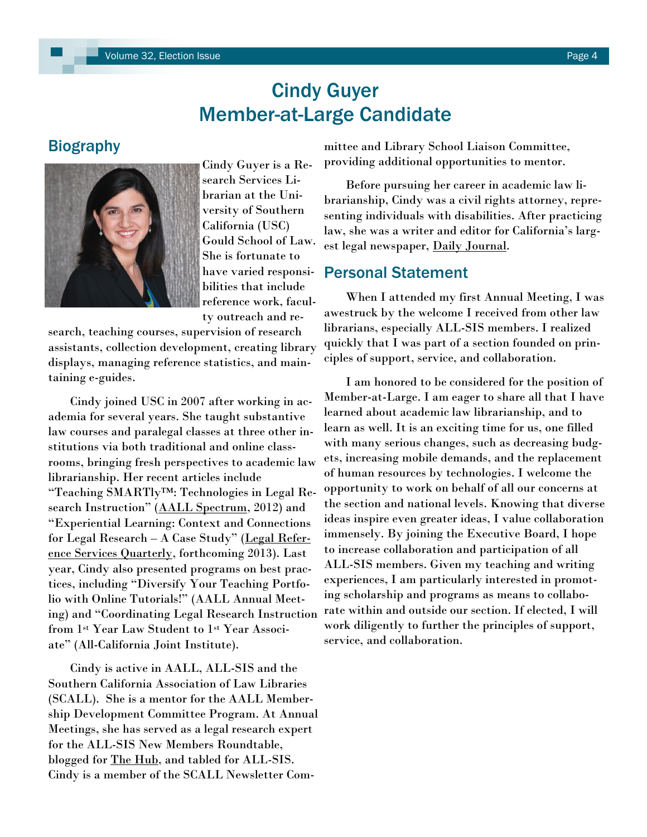# Cindy Guyer Member-at-Large Candidate

# <span id="page-3-0"></span>**Biography**



Cindy Guyer is a Research Services Librarian at the University of Southern California (USC) Gould School of Law. She is fortunate to have varied responsibilities that include reference work, facul-

ty outreach and re-

search, teaching courses, supervision of research assistants, collection development, creating library displays, managing reference statistics, and maintaining e-guides.

 Cindy joined USC in 2007 after working in academia for several years. She taught substantive law courses and paralegal classes at three other institutions via both traditional and online classrooms, bringing fresh perspectives to academic law librarianship. Her recent articles include "Teaching SMARTly™: Technologies in Legal Research Instruction" (AALL Spectrum, 2012) and "Experiential Learning: Context and Connections for Legal Research – A Case Study" (Legal Reference Services Quarterly, forthcoming 2013). Last year, Cindy also presented programs on best practices, including "Diversify Your Teaching Portfolio with Online Tutorials!" (AALL Annual Meeting) and "Coordinating Legal Research Instruction from 1st Year Law Student to 1st Year Associate" (All-California Joint Institute).

 Cindy is active in AALL, ALL-SIS and the Southern California Association of Law Libraries (SCALL). She is a mentor for the AALL Membership Development Committee Program. At Annual Meetings, she has served as a legal research expert for the ALL-SIS New Members Roundtable, blogged for <u>The Hub</u>, and tabled for ALL-SIS. Cindy is a member of the SCALL Newsletter Com-

mittee and Library School Liaison Committee, providing additional opportunities to mentor.

 Before pursuing her career in academic law librarianship, Cindy was a civil rights attorney, representing individuals with disabilities. After practicing law, she was a writer and editor for California's largest legal newspaper, Daily Journal.

#### Personal Statement

 When I attended my first Annual Meeting, I was awestruck by the welcome I received from other law librarians, especially ALL-SIS members. I realized quickly that I was part of a section founded on principles of support, service, and collaboration.

 I am honored to be considered for the position of Member-at-Large. I am eager to share all that I have learned about academic law librarianship, and to learn as well. It is an exciting time for us, one filled with many serious changes, such as decreasing budgets, increasing mobile demands, and the replacement of human resources by technologies. I welcome the opportunity to work on behalf of all our concerns at the section and national levels. Knowing that diverse ideas inspire even greater ideas, I value collaboration immensely. By joining the Executive Board, I hope to increase collaboration and participation of all ALL-SIS members. Given my teaching and writing experiences, I am particularly interested in promoting scholarship and programs as means to collaborate within and outside our section. If elected, I will work diligently to further the principles of support, service, and collaboration.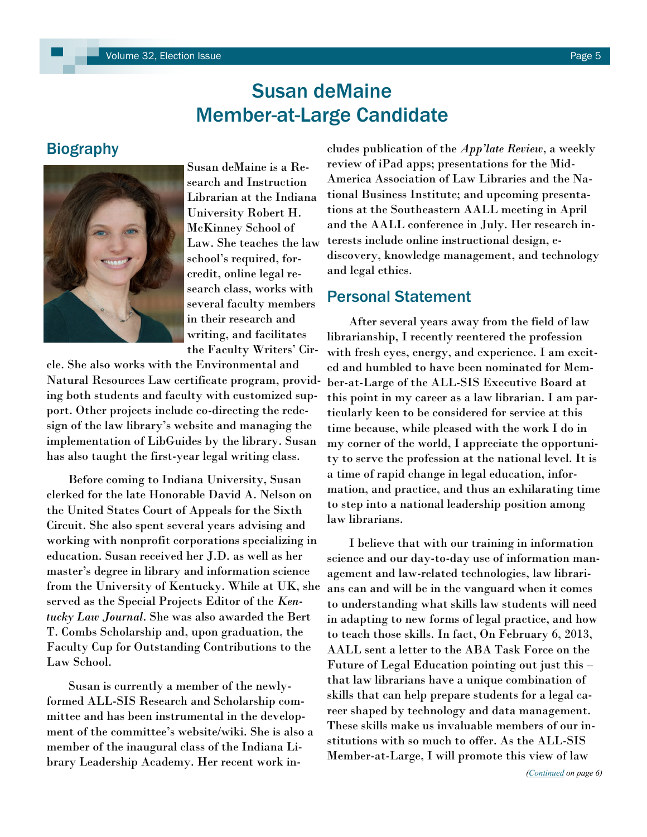# Susan deMaine Member-at-Large Candidate

### <span id="page-4-0"></span>Biography



Susan deMaine is a Research and Instruction Librarian at the Indiana University Robert H. McKinney School of Law. She teaches the law school"s required, forcredit, online legal research class, works with several faculty members in their research and writing, and facilitates the Faculty Writers' Cir-

cle. She also works with the Environmental and Natural Resources Law certificate program, providing both students and faculty with customized support. Other projects include co-directing the redesign of the law library"s website and managing the implementation of LibGuides by the library. Susan has also taught the first-year legal writing class.

 Before coming to Indiana University, Susan clerked for the late Honorable David A. Nelson on the United States Court of Appeals for the Sixth Circuit. She also spent several years advising and working with nonprofit corporations specializing in education. Susan received her J.D. as well as her master"s degree in library and information science from the University of Kentucky. While at UK, she served as the Special Projects Editor of the *Kentucky Law Journal*. She was also awarded the Bert T. Combs Scholarship and, upon graduation, the Faculty Cup for Outstanding Contributions to the Law School.

 Susan is currently a member of the newlyformed ALL-SIS Research and Scholarship committee and has been instrumental in the development of the committee"s website/wiki. She is also a member of the inaugural class of the Indiana Library Leadership Academy. Her recent work in-

cludes publication of the *App'late Review*, a weekly review of iPad apps; presentations for the Mid-America Association of Law Libraries and the National Business Institute; and upcoming presentations at the Southeastern AALL meeting in April and the AALL conference in July. Her research interests include online instructional design, ediscovery, knowledge management, and technology and legal ethics.

# Personal Statement

 After several years away from the field of law librarianship, I recently reentered the profession with fresh eyes, energy, and experience. I am excited and humbled to have been nominated for Member-at-Large of the ALL-SIS Executive Board at this point in my career as a law librarian. I am particularly keen to be considered for service at this time because, while pleased with the work I do in my corner of the world, I appreciate the opportunity to serve the profession at the national level. It is a time of rapid change in legal education, information, and practice, and thus an exhilarating time to step into a national leadership position among law librarians.

 I believe that with our training in information science and our day-to-day use of information management and law-related technologies, law librarians can and will be in the vanguard when it comes to understanding what skills law students will need in adapting to new forms of legal practice, and how to teach those skills. In fact, On February 6, 2013, AALL sent a letter to the ABA Task Force on the Future of Legal Education pointing out just this – that law librarians have a unique combination of skills that can help prepare students for a legal career shaped by technology and data management. These skills make us invaluable members of our institutions with so much to offer. As the ALL-SIS Member-at-Large, I will promote this view of law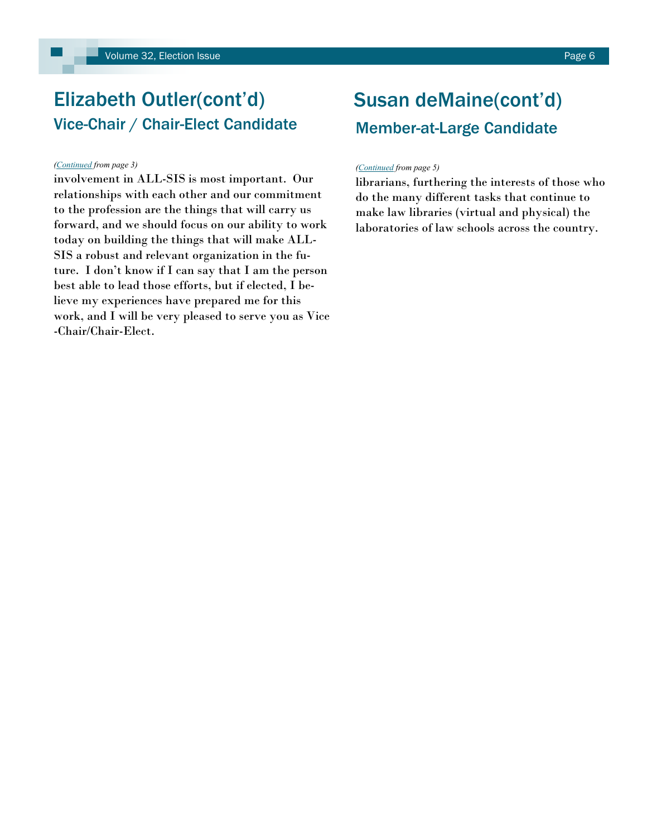#### <span id="page-5-0"></span>*([Continued](#page-2-0) from page 3)*

involvement in ALL-SIS is most important. Our relationships with each other and our commitment to the profession are the things that will carry us forward, and we should focus on our ability to work today on building the things that will make ALL-SIS a robust and relevant organization in the future. I don"t know if I can say that I am the person best able to lead those efforts, but if elected, I believe my experiences have prepared me for this work, and I will be very pleased to serve you as Vice -Chair/Chair-Elect.

# Susan deMaine(cont'd) Member-at-Large Candidate

#### *[\(Continued](#page-4-0) from page 5)*

librarians, furthering the interests of those who do the many different tasks that continue to make law libraries (virtual and physical) the laboratories of law schools across the country.